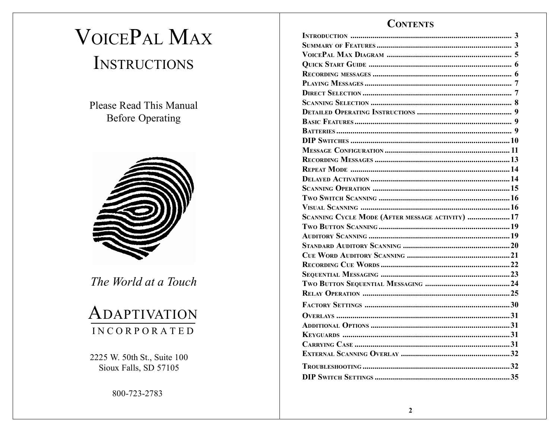# **VOICEPAL MAX** INSTRUCTIONS

**Please Read This Manual Before Operating** 



The World at a Touch

## ADAPTIVATION **INCORPORATED**

2225 W. 50th St., Suite 100 Sioux Falls, SD 57105

800-723-2783

## **CONTENTS**

| SCANNING CYCLE MODE (AFTER MESSAGE ACTIVITY)  17 |  |
|--------------------------------------------------|--|
|                                                  |  |
|                                                  |  |
|                                                  |  |
|                                                  |  |
|                                                  |  |
|                                                  |  |
|                                                  |  |
|                                                  |  |
|                                                  |  |
|                                                  |  |
|                                                  |  |
|                                                  |  |
|                                                  |  |
|                                                  |  |
|                                                  |  |
|                                                  |  |
|                                                  |  |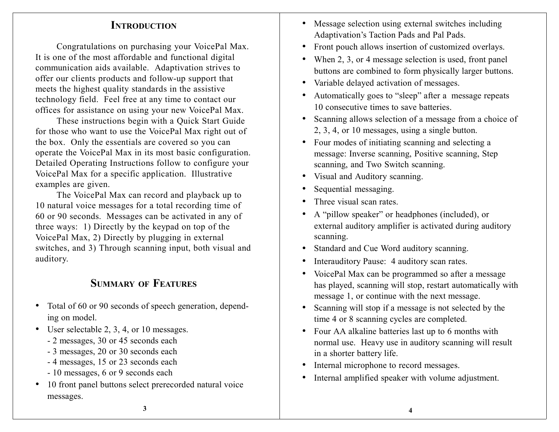## **INTRODUCTION**

Congratulations on purchasing your VoicePal Max. It is one of the most affordable and functional digital communication aids available. Adaptivation strives to offer our clients products and follow-up suppor<sup>t</sup> that meets the highest quality standards in the assistive technology field. Feel free at any time to contact our offices for assistance on using your new VoicePal Max.

These instructions begin with <sup>a</sup> Quick Start Guide for those who want to use the VoicePal Max right out of the box. Only the essentials are covered so you can operate the VoicePal Max in its most basic configuration. Detailed Operating Instructions follow to configure your VoicePal Max for <sup>a</sup> specific application. Illustrative examples are given.

The VoicePal Max can record and playback up to 10 natural voice messages for <sup>a</sup> total recording time of 60 or 90 seconds. Messages can be activated in any of three ways: 1) Directly by the keypad on top of the VoicePal Max, 2) Directly by plugging in external switches, and 3) Through scanning input, both visual and auditory.

## **SUMMARY OFFEATURES**

- Total of 60 or 90 seconds of speech generation, depending on model.
- User selectable 2, 3, 4, or 10 messages.
	- 2 messages, 30 or 45 seconds each
	- 3 messages, 20 or 30 seconds each
	- 4 messages, 15 or 23 seconds each
	- 10 messages, 6 or 9 seconds each
- 10 front panel buttons select prerecorded natural voice messages.
- Message selection using external switches including Adaptivation's Taction Pads and Pal Pads.
- Front pouch allows insertion of customized overlays.
- When 2, 3, or 4 message selection is used, front panel buttons are combined to form physically larger buttons.
- $\bullet$ Variable delayed activation of messages.
- Automatically goes to "sleep" after a message repeats 10 consecutive times to save batteries.
- Scanning allows selection of a message from a choice of 2, 3, 4, or 10 messages, using <sup>a</sup> single button.
- Four modes of initiating scanning and selecting <sup>a</sup> message: Inverse scanning, Positive scanning, Step scanning, and Two Switch scanning.
- Visual and Auditory scanning.
- •Sequential messaging.
- •Three visual scan rates.
- • A "pillow speaker" or headphones (included), or external auditory amplifier is activated during auditory scanning.
- •Standard and Cue Word auditory scanning.
- •Interauditory Pause: 4 auditory scan rates.
- $\bullet$  VoicePal Max can be programmed so after <sup>a</sup> message has played, scanning will stop, restart automatically with message 1, or continue with the next message.
- • Scanning will stop if <sup>a</sup> message is not selected by the time 4 or 8 scanning cycles are completed.
- Four AA alkaline batteries last up to 6 months with normal use. Heavy use in auditory scanning will result in <sup>a</sup> shorter battery life.
- $\bullet$ Internal microphone to record messages.
- •Internal amplified speaker with volume adjustment.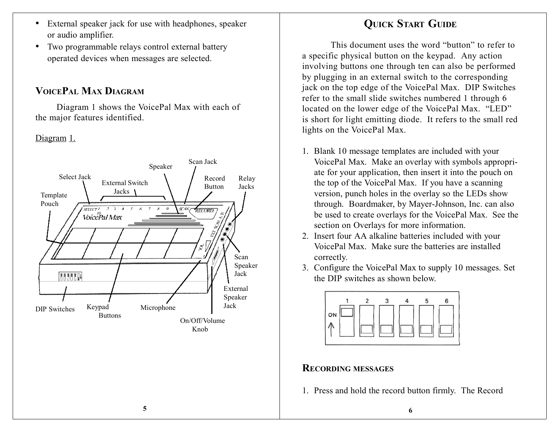- External speaker jack for use with headphones, speaker or audio amplifier.
- • Two programmable relays control external battery operated devices when messages are selected.

## **VOICEPAL MAX DIAGRAM**

Diagram 1 shows the VoicePal Max with each of the major features identified.

## Diagram 1.



## **QUICK START GUIDE**

This document uses the word "button" to refer to<sup>a</sup> specific physical button on the keypad. Any action involving buttons one through ten can also be performed by plugging in an external switch to the corresponding jack on the top edge of the VoicePal Max. DIP Switches refer to the small slide switches numbered 1 through 6 located on the lower edge of the VoicePal Max. "LED" is short for light emitting diode. It refers to the small red lights on the VoicePal Max.

- 1. Blank 10 message templates are included with your VoicePal Max. Make an overlay with symbols appropriate for your application, then insert it into the pouch on the top of the VoicePal Max. If you have <sup>a</sup> scanning version, punch holes in the overlay so the LEDs show through. Boardmaker, by Mayer-Johnson, Inc. can also be used to create overlays for the VoicePal Max. See the section on Overlays for more information.
- 2. Insert four AA alkaline batteries included with your VoicePal Max. Make sure the batteries are installedcorrectly.
- 3. Configure the VoicePal Max to supply 10 messages. Set the DIP switches as shown below.



## **RECORDING MESSAGES**

1. Press and hold the record button firmly. The Record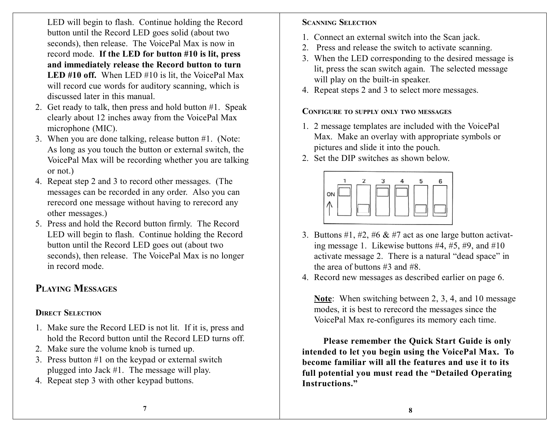LED will begin to flash. Continue holding the Record button until the Record LED goes solid (about two seconds), then release. The VoicePal Max is now in record mode. **If the LED for button #10 is lit, press and immediately release the Record button to turn LED #10 off.** When LED #10 is lit, the VoicePal Max will record cue words for auditory scanning, which is discussed later in this manual.

- 2. Get ready to talk, then press and hold button #1. Speak clearly about 12 inches away from the VoicePal Max microphone (MIC).
- 3. When you are done talking, release button #1. (Note: As long as you touch the button or external switch, the VoicePal Max will be recording whether you are talking or not.)
- 4. Repeat step 2 and 3 to record other messages. (The messages can be recorded in any order. Also you can rerecord one message without having to rerecord any other messages.)
- 5. Press and hold the Record button firmly. The Record LED will begin to flash. Continue holding the Record button until the Record LED goes out (about two seconds), then release. The VoicePal Max is no longer in record mode.

## **PLAYINGMESSAGES**

## **DIRECTSELECTION**

- 1. Make sure the Record LED is not lit. If it is, press and hold the Record button until the Record LED turns off.
- 2. Make sure the volume knob is turned up.
- 3. Press button #1 on the keypad or external switch plugged into Jack #1. The message will play.
- 4. Repeat step 3 with other keypad buttons.

## **SCANNINGSELECTION**

- 1. Connect an external switch into the Scan jack.
- 2. Press and release the switch to activate scanning.
- 3. When the LED corresponding to the desired message is lit, press the scan switch again. The selected message will play on the built-in speaker.
- 4. Repeat steps 2 and 3 to select more messages.

**CONFIGURE TO SUPPLY ONLY TWO MESSAGES**

- 1. 2 message templates are included with the VoicePal Max. Make an overlay with appropriate symbols or pictures and slide it into the pouch.
- 2. Set the DIP switches as shown below.



- 3. Buttons #1, #2, #6  $&$  #7 act as one large button activating message 1. Likewise buttons  $#4, #5, #9, and #10$ activate message 2. There is <sup>a</sup> natural "dead space" in the area of buttons #3 and #8.
- 4. Record new messages as described earlier on page 6.

**Note**: When switching between 2, 3, 4, and 10 message modes, it is best to rerecord the messages since the VoicePal Max re-configures its memory each time.

**Please remember the Quick Start Guide is only intended to let you begin using the VoicePal Max. To become familiar will all the features and use it to its full potential you must read the "Detailed Operating Instructions."**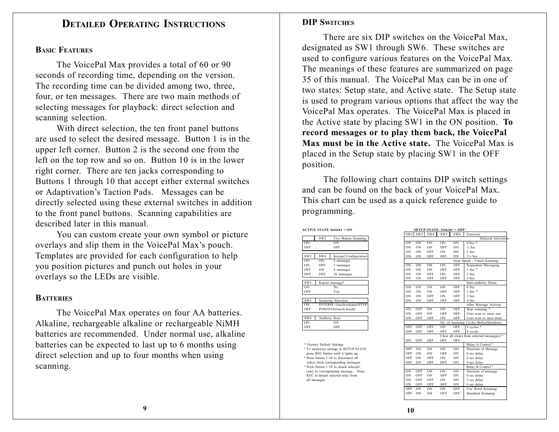## **DETAILEDOPERATINGINSTRUCTIONS**

#### **BASICFEATURES**

The VoicePal Max provides <sup>a</sup> total of 60 or 90 seconds of recording time, depending on the version. The recording time can be divided among two, three, four, or ten messages. There are two main methods of selecting messages for playback: direct selection and scanning selection.

With direct selection, the ten front panel buttons are used to select the desired message. Button 1 is in the upper left corner. Button 2 is the second one from the left on the top row and so on. Button 10 is in the lower right corner. There are ten jacks corresponding to Buttons 1 through 10 that accep<sup>t</sup> either external switches or Adaptivation's Taction Pads. Messages can be directly selected using these external switches in addition to the front panel buttons. Scanning capabilities are described later in this manual.

You can custom create your own symbol or picture overlays and slip them in the VoicePal Max's pouch. Templates are provided for each configuration to help you position pictures and punch out holes in your overlays so the LEDs are visible.

#### **BATTERIES**

The VoicePal Max operates on four AA batteries. Alkaline, rechargeable alkaline or rechargeable NiMH batteries are recommended. Under normal use, alkaline batteries can be expected to last up to 6 months using direct selection and up to four months when using scanning.

#### **DIP SWITCHES**

There are six DIP switches on the VoicePal Max, designated as SW1 through SW6. These switches are used to configure various features on the VoicePal Max. The meanings of these features are summarized on page 35 of this manual. The VoicePal Max can be in one oftwo states: Setup state, and Active state. The Setup state is used to program various options that affect the way the VoicePal Max operates. The VoicePal Max is placed in the Active state by placing SW1 in the ON position. **To record messages or to play them back, the VoicePal Max must be in the Active state.** The VoicePal Max isplaced in the Setup state by placing SW1 in the OFF position.

The following chart contains DIP switch settings and can be found on the back of your VoicePal Max. This chart can be used as <sup>a</sup> quick reference guide to programming.

**ACTIVE STATE Switch1 <sup>=</sup> ON SETUP STATE: Switch1 <sup>=</sup> OFF'**

|                 | SW2           | I wo Button Scanning                |
|-----------------|---------------|-------------------------------------|
| ON              |               | ON                                  |
| OFF             |               | OFF                                 |
|                 |               |                                     |
| SW3             | SW4           | Keypad Configuration                |
| ON              | OΝ            | 2 messages                          |
| ON              | OFF           | 3 messages                          |
| OFF             | ON            | 4 messages                          |
| OFF             | OFF           | 10 messages                         |
|                 |               |                                     |
| SW <sub>5</sub> |               | Repeat message?                     |
| ON              |               | No                                  |
| OFF             |               | Yes                                 |
|                 |               |                                     |
| SW <sub>5</sub> |               | Scanning Selection                  |
| ON              |               | <b>INVERSE</b> (touch-release)/STEF |
| OFF             |               | POSITIVE(touch-touch)               |
|                 |               |                                     |
| SW <sub>6</sub> | Auditory Scan |                                     |
| ON              |               | ON                                  |
| OFF             |               | OFF                                 |

| <b>CTIVE STATE Switch1 = ON</b>                   |                                  | SETUP STATE: Switch1 = OFF'                   |                                                        |
|---------------------------------------------------|----------------------------------|-----------------------------------------------|--------------------------------------------------------|
|                                                   | SW <sub>2</sub><br>SW3           | SW4<br>SW <sub>5</sub><br>SW <sub>6</sub>     | Function                                               |
| SW <sub>2</sub><br>Two Button Scanning            |                                  |                                               | Delayed Activation                                     |
| ON                                                | 0 <sub>N</sub><br>0 <sub>N</sub> | ON<br>0 <sub>N</sub><br><b>ON</b>             | $0$ Sec $*$                                            |
| OFF                                               | ON<br>ON                         | ON<br>OFF<br>ON                               | $\frac{1}{2}$ Sec                                      |
|                                                   | ON<br>ON                         | OFF<br>ON<br>ON                               | 1 Sec                                                  |
| SW4<br>Keypad Configuration                       | ON<br>ON                         | OFF<br>OFF<br>ON                              | 11/2 Sec                                               |
| 0N<br>2 messages                                  |                                  |                                               | Scan Speed - Visual Scanning                           |
| OFF<br>3 messages                                 | ON<br>ON                         | OFF<br>ON<br>ON                               | Sequential Messaging                                   |
| ON<br>4 messages                                  | ON<br>ON                         | ON<br>OFF<br>OFF                              | 1 Sec *                                                |
| OFF<br>10 messages                                | ON<br>ON                         | OFF<br>ON<br>OFF                              | 2 Sec                                                  |
|                                                   | ON<br>ON                         | OFF<br>OFF<br>OFF                             | 4 Sec                                                  |
| Repeat message?                                   |                                  |                                               | Inter-auditory Pause                                   |
| No                                                | ON<br>ON                         | ON<br>OFF<br><b>ON</b>                        | 0 Sec                                                  |
| Yes                                               | ON<br>ON                         | ON<br>OFF<br>OFF                              | 1 Sec *                                                |
|                                                   | ON<br>ON                         | OFF<br>ON<br>OFF                              | 2 Sec                                                  |
| Scanning Selection                                | ON<br>0 <sub>N</sub>             | OFF<br>OFF<br>OFF                             | 4 Sec                                                  |
| INVERSE (touch-release)/STEP                      |                                  |                                               | After Message Activity                                 |
| POSITIVE(touch-touch)                             | O <sub>N</sub><br>OFF            | <b>OFF</b><br><b>ON</b><br>ON                 | Stop scanning *                                        |
|                                                   | ON<br>OFF                        | OFF<br>ON<br>OFF                              | Cont scan w/ mess one                                  |
| Auditory Scan                                     | ON<br>OFF                        | OFF<br>OFF<br>ON                              | Cont scan w/next mess                                  |
| O <sub>N</sub>                                    |                                  |                                               | No. of Scanning Cycles BeforeShutdown                  |
| OFF                                               | OFF<br>OFF                       | OFF<br>ON<br>OFF                              | 4 cycles *                                             |
|                                                   | OFF<br>OFF                       | OFF<br>OFF<br>OFF                             | 8 cycles                                               |
|                                                   |                                  |                                               | Clear all relays from selected message(s) <sup>2</sup> |
|                                                   | OFF<br>ON                        | OFF<br>OFF<br>OFF                             |                                                        |
| * Factory Default Settings                        |                                  |                                               | Relay A Control <sup>3</sup>                           |
| <sup>1</sup> To memorize settings in SETUP STATE  | OFF<br>ON                        | ON<br>ON<br>ON                                | Duration of Message                                    |
| press REC button until it lights up.              | OFF<br>ON                        | ON<br>OFF<br>ON                               | 0 sec delay                                            |
| <sup>2</sup> Press button 1-10 to disconnect all  | OFF<br>ON                        | OFF<br>ON<br>ON                               | 2 sec delay                                            |
| relays from corresponding messages.               | OFF<br><b>ON</b>                 | OFF<br>OFF<br>ON                              | 4 sec delay                                            |
| <sup>3</sup> Press button 1-10 to attach selected |                                  |                                               | Relay B Control <sup>3</sup>                           |
| relay to corresponding message. Press             | 0 <sub>N</sub><br>OFF            | 0 <sub>N</sub><br>0 <sub>N</sub><br><b>ON</b> | Duration of message                                    |
| REC to detach selected relay from                 | OFF<br>ON                        | ON<br>OFF<br><b>ON</b>                        | 0 sec delay                                            |
|                                                   | OFF<br>ON                        | OFF<br><b>ON</b><br><b>ON</b>                 | 2 sec delay                                            |
|                                                   | ON<br>OFF                        | OFF<br>ON<br>OFF                              | 6 sec delay                                            |
|                                                   | OFF<br>ON                        | ON<br>OFF<br><b>ON</b>                        | Cue Word Scanning                                      |
|                                                   | OFF<br>ON                        | OFF<br>OFF<br><b>ON</b>                       | Standard Scanning                                      |
|                                                   |                                  |                                               |                                                        |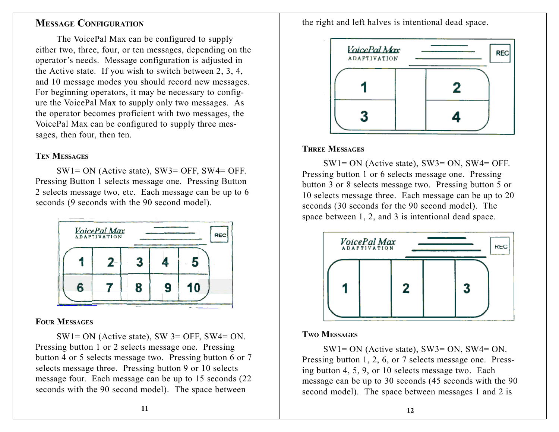## **MESSAGE CONFIGURATION**

The VoicePal Max can be configured to supply either two, three, four, or ten messages, depending on the operator's needs. Message configuration is adjusted in the Active state. If you wish to switch between 2, 3, 4, and 10 message modes you should record new messages. For beginning operators, it may be necessary to configure the VoicePal Max to supply only two messages. As the operator becomes proficient with two messages, the VoicePal Max can be configured to supply three messages, then four, then ten.

#### **TEN MESSAGES**

SW1= ON (Active state), SW3= OFF, SW4= OFF. Pressing Button 1 selects message one. Pressing Button 2 selects message two, etc. Each message can be up to 6 seconds (9 seconds with the 90 second model).



## **FOUR MESSAGES**

 $SW1 = ON$  (Active state), SW 3= OFF, SW4= ON. Pressing button 1 or 2 selects message one. Pressing button 4 or 5 selects message two. Pressing button 6 or 7 selects message three. Pressing button 9 or 10 selects message four. Each message can be up to 15 seconds (22 seconds with the 90 second model). The space between

the right and left halves is intentional dead space.



## **THREE MESSAGES**

SW1= ON (Active state), SW3= ON, SW4= OFF. Pressing button 1 or 6 selects message one. Pressing button 3 or 8 selects message two. Pressing button 5 or 10 selects message three. Each message can be up to 20 seconds (30 seconds for the 90 second model). The space between 1, 2, and 3 is intentional dead space.



## **TWO MESSAGES**

SW1= ON (Active state), SW3= ON, SW4= ON. Pressing button 1, 2, 6, or 7 selects message one. Pressing button 4, 5, 9, or 10 selects message two. Each message can be up to 30 seconds (45 seconds with the 90 second model). The space between messages 1 and 2 is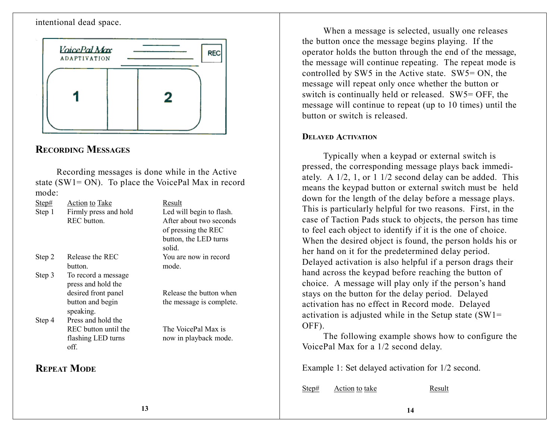#### intentional dead space.



## **RECORDING MESSAGES**

Recording messages is done while in the Active state (SW1= ON). To place the VoicePal Max in record mode:

| Step#  | <b>Action to Take</b> | Result                   |
|--------|-----------------------|--------------------------|
| Step 1 | Firmly press and hold | Led will begin to flash. |
|        | REC button.           | After about two seconds  |
|        |                       | of pressing the REC      |
|        |                       | button, the LED turns    |
|        |                       | solid.                   |
| Step 2 | Release the REC       | You are now in record    |
|        | button.               | mode.                    |
| Step 3 | To record a message   |                          |
|        | press and hold the    |                          |
|        | desired front panel   | Release the button when  |
|        | button and begin      | the message is complete. |
|        | speaking.             |                          |
| Step 4 | Press and hold the    |                          |
|        | REC button until the  | The VoicePal Max is      |
|        | flashing LED turns    | now in playback mode.    |
|        | off.                  |                          |
|        |                       |                          |
|        | <b>REPEAT MODE</b>    |                          |
|        |                       |                          |
|        |                       |                          |

When <sup>a</sup> message is selected, usually one releases the button once the message begins playing. If the operator holds the button through the end of the message, the message will continue repeating. The repea<sup>t</sup> mode is controlled by SW5 in the Active state. SW5= ON, the message will repea<sup>t</sup> only once whether the button or switch is continually held or released. SW5= OFF, the message will continue to repea<sup>t</sup> (up to 10 times) until the button or switch is released.

#### **DELAYED ACTIVATION**

Typically when <sup>a</sup> keypad or external switch is pressed, the corresponding message plays back immediately. A 1/2, 1, or 1 1/2 second delay can be added. This means the keypad button or external switch must be held down for the length of the delay before <sup>a</sup> message plays. This is particularly helpful for two reasons. First, in the case of Taction Pads stuck to objects, the person has time to feel each object to identify if it is the one of choice. When the desired object is found, the person holds his or her hand on it for the predetermined delay period. Delayed activation is also helpful if <sup>a</sup> person drags their hand across the keypad before reaching the button of choice. A message will play only if the person's hand stays on the button for the delay period. Delayed activation has no effect in Record mode. Delayed activation is adjusted while in the Setup state  $(SW1=$ OFF).

The following example shows how to configure the VoicePal Max for <sup>a</sup> 1/2 second delay.

Example 1: Set delayed activation for 1/2 second.

Step# Action to take Result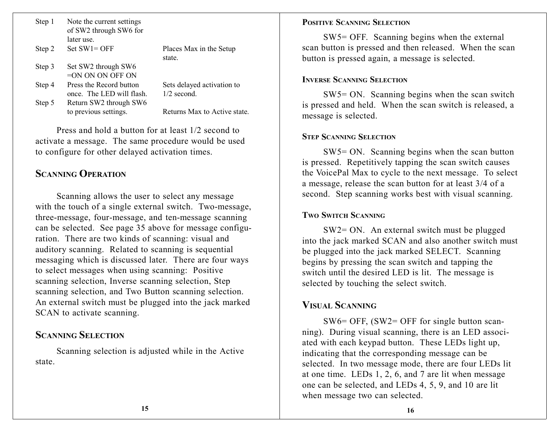| Step 1 | Note the current settings<br>of SW2 through SW6 for |                              |
|--------|-----------------------------------------------------|------------------------------|
|        | later use.                                          |                              |
| Step 2 | $Set SW1 = OFF$                                     | Places Max in the Setup      |
|        |                                                     | state.                       |
| Step 3 | Set SW2 through SW6                                 |                              |
|        | $=$ ON ON ON OFF ON                                 |                              |
| Step 4 | Press the Record button                             | Sets delayed activation to   |
|        | once. The LED will flash.                           | $1/2$ second.                |
| Step 5 | Return SW2 through SW6                              |                              |
|        | to previous settings.                               | Returns Max to Active state. |

Press and hold <sup>a</sup> button for at least 1/2 second toactivate <sup>a</sup> message. The same procedure would be used to configure for other delayed activation times.

### **SCANNINGOPERATION**

Scanning allows the user to select any message with the touch of a single external switch. Two-message, three-message, four-message, and ten-message scanning can be selected. See page 35 above for message configuration. There are two kinds of scanning: visual and auditory scanning. Related to scanning is sequential messaging which is discussed later. There are four ways to select messages when using scanning: Positive scanning selection, Inverse scanning selection, Step scanning selection, and Two Button scanning selection. An external switch must be plugged into the jack marked SCAN to activate scanning.

#### **SCANNINGSELECTION**

Scanning selection is adjusted while in the Active state.

#### **POSITIVESCANNINGSELECTION**

SW5= OFF. Scanning begins when the external scan button is pressed and then released. When the scan button is pressed again, <sup>a</sup> message is selected.

#### **INVERSESCANNINGSELECTION**

SW5= ON. Scanning begins when the scan switch is pressed and held. When the scan switch is released, <sup>a</sup> message is selected.

#### **STEPSCANNINGSELECTION**

SW5= ON. Scanning begins when the scan button is pressed. Repetitively tapping the scan switch causes the VoicePal Max to cycle to the next message. To select <sup>a</sup> message, release the scan button for at least 3/4 of <sup>a</sup> second. Step scanning works best with visual scanning.

#### **TWOSWITCHSCANNING**

SW2= ON. An external switch must be plugged into the jack marked SCAN and also another switch must be plugged into the jack marked SELECT. Scanning begins by pressing the scan switch and tapping the switch until the desired LED is lit. The message is selected by touching the select switch.

## **VISUALSCANNING**

SW6= OFF, (SW2= OFF for single button scanning). During visual scanning, there is an LED associated with each keypad button. These LEDs light up, indicating that the corresponding message can be selected. In two message mode, there are four LEDs lit at one time. LEDs 1, 2, 6, and 7 are lit when message one can be selected, and LEDs 4, 5, 9, and 10 are lit when message two can selected.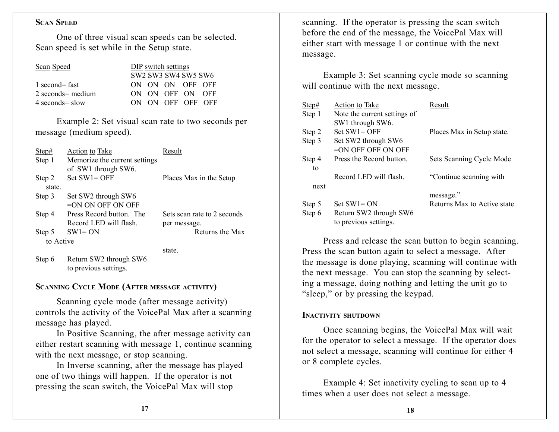#### **SCANSPEED**

One of three visual scan speeds can be selected. Scan speed is set while in the Setup state.

| Scan Sneed |  |
|------------|--|
|            |  |

| Scan Speed         |  | DIP switch settings |                                                                                 |  |
|--------------------|--|---------------------|---------------------------------------------------------------------------------|--|
|                    |  |                     | SW <sub>2</sub> SW <sub>3</sub> SW <sub>4</sub> SW <sub>5</sub> SW <sub>6</sub> |  |
| 1 second= fast     |  |                     | ON ON ON OFF OFF                                                                |  |
| 2 seconds = medium |  |                     | ON ON OFF ON OFF                                                                |  |
| 4 seconds = slow   |  |                     | ON ON OFF OFF OFF                                                               |  |

Example 2: Set visual scan rate to two seconds per message (medium speed).

| Step#     | Action to Take                                                                                                                                                       | Result                      |
|-----------|----------------------------------------------------------------------------------------------------------------------------------------------------------------------|-----------------------------|
| Step 1    | Memorize the current settings                                                                                                                                        |                             |
|           | of SW1 through SW6.                                                                                                                                                  |                             |
| Step 2    | $Set SW1 = OFF$                                                                                                                                                      | Places Max in the Setup     |
| state.    |                                                                                                                                                                      |                             |
| Step 3    | Set SW2 through SW6                                                                                                                                                  |                             |
|           | $=$ ON ON OFF ON OFF                                                                                                                                                 |                             |
| Step 4    | Press Record button. The                                                                                                                                             | Sets scan rate to 2 seconds |
|           | Record LED will flash.                                                                                                                                               | per message.                |
| Step 5    | $SW1 = ON$                                                                                                                                                           | Returns the Max             |
| to Active |                                                                                                                                                                      |                             |
|           |                                                                                                                                                                      | state.                      |
|           | $\mathcal{C}_{\text{true}}$ ( $\mathcal{D}_{\text{other}}$ $\mathcal{C}_{\text{W}}$ $\mathcal{C}_{\text{true}}$ $\mathcal{C}_{\text{true}}$ $\mathcal{C}_{\text{W}}$ |                             |

Step 6 Return SW2 through SW6 to previous settings.

#### **SCANNING CYCLE MODE (AFTER MESSAGE ACTIVITY)**

Scanning cycle mode (after message activity) controls the activity of the VoicePal Max after <sup>a</sup> scanning message has played.

In Positive Scanning, the after message activity can either restart scanning with message 1, continue scanning with the next message, or stop scanning.

In Inverse scanning, after the message has played one of two things will happen. If the operator is not pressing the scan switch, the VoicePal Max will stop

scanning. If the operator is pressing the scan switch before the end of the message, the VoicePal Max will either start with message 1 or continue with the next message.

Example 3: Set scanning cycle mode so scanning will continue with the next message.

| Step#  | Action to Take               | Result                      |
|--------|------------------------------|-----------------------------|
| Step 1 | Note the current settings of |                             |
|        | SW1 through SW6.             |                             |
| Step 2 | $Set SW1 = OFF$              | Places Max in Setup state.  |
| Step 3 | Set SW2 through SW6          |                             |
|        | $=$ ON OFF OFF ON OFF        |                             |
| Step 4 | Press the Record button.     | Sets Scanning Cycle Mode    |
| to     |                              |                             |
|        | Record LED will flash.       | "Continue scanning with"    |
| next   |                              |                             |
|        |                              | message."                   |
| Step 5 | $Set SW1 = ON$               | Returns Max to Active state |
| Step 6 | Return SW2 through SW6       |                             |
|        | to previous settings.        |                             |

Press and release the scan button to begin scanning. Press the scan button again to select <sup>a</sup> message. After the message is done playing, scanning will continue with the next message. You can stop the scanning by selecting <sup>a</sup> message, doing nothing and letting the unit go to "sleep," or by pressing the keypad.

#### **INACTIVITY SHUTDOWN**

Once scanning begins, the VoicePal Max will wait for the operator to select <sup>a</sup> message. If the operator does not select <sup>a</sup> message, scanning will continue for either 4 or 8 complete cycles.

Example 4: Set inactivity cycling to scan up to 4 times when <sup>a</sup> user does not select <sup>a</sup> message.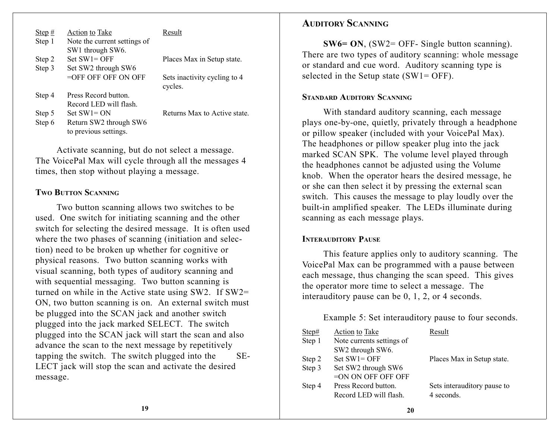| Step $#$ | Action to Take               | Result                       |
|----------|------------------------------|------------------------------|
| Step 1   | Note the current settings of |                              |
|          | SW1 through SW6.             |                              |
| Step 2   | $Set SW1 = OFF$              | Places Max in Setup state.   |
| Step 3   | Set SW2 through SW6          |                              |
|          | $=$ OFF OFF OFF ON OFF       | Sets inactivity cycling to 4 |
|          |                              | cycles.                      |
| Step 4   | Press Record button.         |                              |
|          | Record LED will flash.       |                              |
| Step 5   | $Set SW1 = ON$               | Returns Max to Active state. |
| Step 6   | Return SW2 through SW6       |                              |
|          | to previous settings.        |                              |

Activate scanning, but do not select <sup>a</sup> message. The VoicePal Max will cycle through all the messages 4 times, then stop without playing <sup>a</sup> message.

#### **TWOBUTTONSCANNING**

Two button scanning allows two switches to be used. One switch for initiating scanning and the other switch for selecting the desired message. It is often used where the two phases of scanning (initiation and selection) need to be broken up whether for cognitive or physical reasons. Two button scanning works with visual scanning, both types of auditory scanning and with sequential messaging. Two button scanning is turned on while in the Active state using SW2. If SW2= ON, two button scanning is on. An external switch must be plugged into the SCAN jack and another switch plugged into the jack marked SELECT. The switch plugged into the SCAN jack will start the scan and also advance the scan to the next message by repetitively tapping the switch. The switch plugged into the SE-LECT jack will stop the scan and activate the desired message.

#### **AUDITORYSCANNING**

**SW6= ON**, (SW2= OFF- Single button scanning). There are two types of auditory scanning: whole message or standard and cue word. Auditory scanning type is selected in the Setup state  $(SW1 = OFF)$ .

#### **STANDARDAUDITORYSCANNING**

With standard auditory scanning, each message plays one-by-one, quietly, privately through <sup>a</sup> headphone or pillow speaker (included with your VoicePal Max). The headphones or pillow speaker plug into the jack marked SCAN SPK. The volume level played through the headphones cannot be adjusted using the Volume knob. When the operator hears the desired message, he or she can then select it by pressing the external scan switch. This causes the message to play loudly over the built-in amplified speaker. The LEDs illuminate during scanning as each message plays.

#### **INTERAUDITORYPAUSE**

This feature applies only to auditory scanning. The VoicePal Max can be programmed with <sup>a</sup> pause between each message, thus changing the scan speed. This gives the operator more time to select <sup>a</sup> message. The interauditory pause can be 0, 1, 2, or 4 seconds.

Example 5: Set interauditory pause to four seconds.

| Step#  | <b>Action to Take</b>     | Result                      |
|--------|---------------------------|-----------------------------|
| Step 1 | Note currents settings of |                             |
|        | SW2 through SW6.          |                             |
| Step 2 | Set $SW1 = OFF$           | Places Max in Setup state.  |
| Step 3 | Set SW2 through SW6       |                             |
|        | =ON ON OFF OFF OFF        |                             |
| Step 4 | Press Record button.      | Sets interauditory pause to |
|        | Record LED will flash.    | 4 seconds.                  |
|        |                           |                             |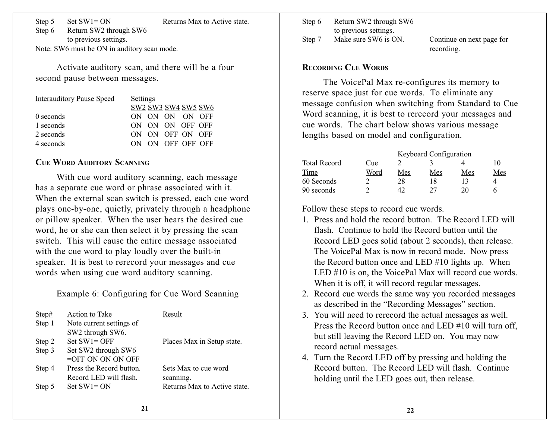Step 5 Set SW1= ON Returns Max to Active state.

Step 6 Return SW2 through SW6 to previous settings. Note: SW6 must be ON in auditory scan mode.

Activate auditory scan, and there will be <sup>a</sup> four second pause between messages.

| <b>Interauditory Pause Speed</b> | <b>Settings</b>     |
|----------------------------------|---------------------|
|                                  | SW2 SW3 SW4 SW5 SW6 |
| 0 seconds                        | ON ON ON ON OFF     |
| 1 seconds                        | ON ON ON OFF OFF    |
| 2 seconds                        | ON ON OFF ON OFF    |
| 4 seconds                        | ON ON OFF OFF OFF   |

#### **CUE WORD AUDITORY SCANNING**

With cue word auditory scanning, each message has <sup>a</sup> separate cue word or phrase associated with it. When the external scan switch is pressed, each cue word plays one-by-one, quietly, privately through <sup>a</sup> headphone or pillow speaker. When the user hears the desired cue word, he or she can then select it by pressing the scan switch. This will cause the entire message associated with the cue word to play loudly over the built-in speaker. It is best to rerecord your messages and cue words when using cue word auditory scanning.

Example 6: Configuring for Cue Word Scanning

| Step#  | Action to Take           | Result                       |
|--------|--------------------------|------------------------------|
| Step 1 | Note current settings of |                              |
|        | SW2 through SW6.         |                              |
| Step 2 | $Set SW1 = OFF$          | Places Max in Setup state.   |
| Step 3 | Set SW2 through SW6      |                              |
|        | $=$ OFF ON ON ON OFF     |                              |
| Step 4 | Press the Record button. | Sets Max to cue word         |
|        | Record LED will flash.   | scanning.                    |
| Step 5 | $Set SW1 = ON$           | Returns Max to Active state. |
|        |                          |                              |

Step 6 Return SW2 through SW6 to previous settings. Step 7 Make sure SW6 is ON. Continue on next page for

recording.

#### **RECORDING CUE WORDS**

The VoicePal Max re-configures its memory to reserve space just for cue words. To eliminate any message confusion when switching from Standard to Cue Word scanning, it is best to rerecord your messages and cue words. The chart below shows various message lengths based on model and configuration.

|                     |      | Keyboard Configuration |     |     |     |
|---------------------|------|------------------------|-----|-----|-----|
| <b>Total Record</b> | Cue  |                        |     |     |     |
| Time                | Word | Mes                    | Mes | Mes | Mes |
| 60 Seconds          |      | 28                     | 18  |     |     |
| 90 seconds          |      | 42                     | フフ  | 20  |     |

Follow these steps to record cue words.

- 1. Press and hold the record button. The Record LED willflash. Continue to hold the Record button until theRecord LED goes solid (about 2 seconds), then release. The VoicePal Max is now in record mode. Now press the Record button once and LED #10 lights up. When LED #10 is on, the VoicePal Max will record cue words. When it is off, it will record regular messages.
- 2. Record cue words the same way you recorded messages as described in the "Recording Messages" section.
- 3. You will need to rerecord the actual messages as well. Press the Record button once and LED #10 will turn off, but still leaving the Record LED on. You may now record actual messages.
- 4. Turn the Record LED off by pressing and holding the Record button. The Record LED will flash. Continueholding until the LED goes out, then release.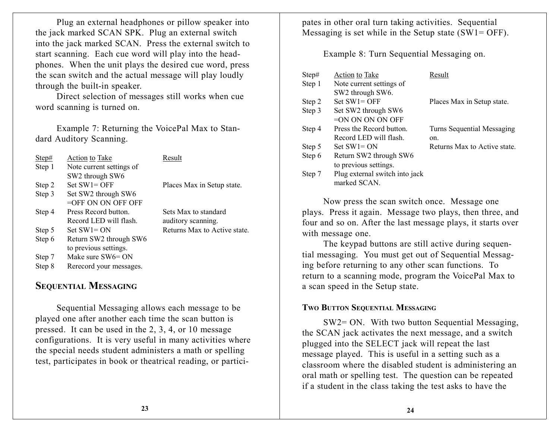Plug an external headphones or pillow speaker into the jack marked SCAN SPK. Plug an external switch into the jack marked SCAN. Press the external switch to start scanning. Each cue word will play into the headphones. When the unit plays the desired cue word, press the scan switch and the actual message will play loudly through the built-in speaker.

Direct selection of messages still works when cue word scanning is turned on.

Example 7: Returning the VoicePal Max to Standard Auditory Scanning.

| Step#  | Action to Take           | Result                       |
|--------|--------------------------|------------------------------|
| Step 1 | Note current settings of |                              |
|        | SW2 through SW6          |                              |
| Step 2 | $Set SW1 = OFF$          | Places Max in Setup state.   |
| Step 3 | Set SW2 through SW6      |                              |
|        | $=$ OFF ON ON OFF OFF    |                              |
| Step 4 | Press Record button.     | Sets Max to standard         |
|        | Record LED will flash.   | auditory scanning.           |
| Step 5 | $Set SW1 = ON$           | Returns Max to Active state. |
| Step 6 | Return SW2 through SW6   |                              |
|        | to previous settings.    |                              |
| Step 7 | Make sure SW6= ON        |                              |
| Step 8 | Rerecord your messages.  |                              |

## **SEQUENTIAL MESSAGING**

Sequential Messaging allows each message to be played one after another each time the scan button is pressed. It can be used in the 2, 3, 4, or 10 message configurations. It is very useful in many activities where the special needs student administers <sup>a</sup> math or spelling test, participates in book or theatrical reading, or participates in other oral turn taking activities. Sequential Messaging is set while in the Setup state  $(SW1 = OFF)$ .

Example 8: Turn Sequential Messaging on.

| Step#  | <b>Action to Take</b>          | Result                       |
|--------|--------------------------------|------------------------------|
| Step 1 | Note current settings of       |                              |
|        | SW2 through SW6.               |                              |
| Step 2 | $Set SW1 = OFF$                | Places Max in Setup state.   |
| Step 3 | Set SW2 through SW6            |                              |
|        | $=$ ON ON ON ON OFF            |                              |
| Step 4 | Press the Record button.       | Turns Sequential Messaging   |
|        | Record LED will flash.         | on.                          |
| Step 5 | $Set SW1 = ON$                 | Returns Max to Active state. |
| Step 6 | Return SW2 through SW6         |                              |
|        | to previous settings.          |                              |
| Step 7 | Plug external switch into jack |                              |
|        | marked SCAN.                   |                              |

Now press the scan switch once. Message one plays. Press it again. Message two plays, then three, and four and so on. After the last message plays, it starts over with message one.

The keypad buttons are still active during sequential messaging. You must ge<sup>t</sup> out of Sequential Messaging before returning to any other scan functions. To return to <sup>a</sup> scanning mode, program the VoicePal Max to <sup>a</sup> scan speed in the Setup state.

#### **TWOBUTTONSEQUENTIAL MESSAGING**

SW2= ON. With two button Sequential Messaging, the SCAN jack activates the next message, and <sup>a</sup> switch plugged into the SELECT jack will repea<sup>t</sup> the last message played. This is useful in <sup>a</sup> setting such as <sup>a</sup> classroom where the disabled student is administering an oral math or spelling test. The question can be repeated if <sup>a</sup> student in the class taking the test asks to have the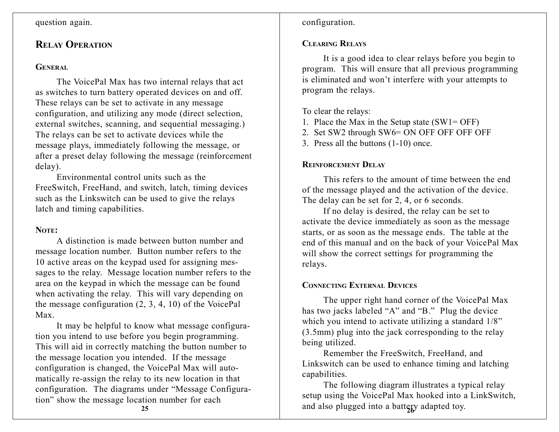#### question again.

## **RELAYOPERATION**

#### **GENERAL**

The VoicePal Max has two internal relays that act as switches to turn battery operated devices on and off. These relays can be set to activate in any message configuration, and utilizing any mode (direct selection, external switches, scanning, and sequential messaging.) The relays can be set to activate devices while the message plays, immediately following the message, or after <sup>a</sup> prese<sup>t</sup> delay following the message (reinforcement delay).

Environmental control units such as theFreeSwitch, FreeHand, and switch, latch, timing devices such as the Linkswitch can be used to give the relays latch and timing capabilities.

#### **NOTE:**

A distinction is made between button number andmessage location number. Button number refers to the 10 active areas on the keypad used for assigning messages to the relay. Message location number refers to the area on the keypad in which the message can be found when activating the relay. This will vary depending on the message configuration  $(2, 3, 4, 10)$  of the VoicePal Max.

It may be helpful to know what message configuration you intend to use before you begin programming. This will aid in correctly matching the button number to the message location you intended. If the message configuration is changed, the VoicePal Max will automatically re-assign the relay to its new location in that configuration. The diagrams under "Message Configuration" show the message location number for each

**25**

configuration.

#### **CLEARINGRELAYS**

It is <sup>a</sup> good idea to clear relays before you begin to program. This will ensure that all previous programming is eliminated and won't interfere with your attempts to program the relays.

To clear the relays:

- 1. Place the Max in the Setup state (SW1= OFF)
- 2. Set SW2 through SW6= ON OFF OFF OFF OFF
- 3. Press all the buttons (1-10) once.

## **REINFORCEMENTDELAY**

This refers to the amount of time between the endof the message played and the activation of the device. The delay can be set for 2, 4, or 6 seconds.

If no delay is desired, the relay can be set to activate the device immediately as soon as the message starts, or as soon as the message ends. The table at the end of this manual and on the back of your VoicePal Max will show the correct settings for programming the relays.

## **CONNECTINGEXTERNALDEVICES**

The upper right hand corner of the VoicePal Max has two jacks labeled "A" and "B." Plug the device which you intend to activate utilizing a standard  $1/8$ " (3.5mm) plug into the jack corresponding to the relay being utilized.

Remember the FreeSwitch, FreeHand, and Linkswitch can be used to enhance timing and latching capabilities.

and also plugged into a battery adapted toy. The following diagram illustrates <sup>a</sup> typical relay setup using the VoicePal Max hooked into <sup>a</sup> LinkSwitch,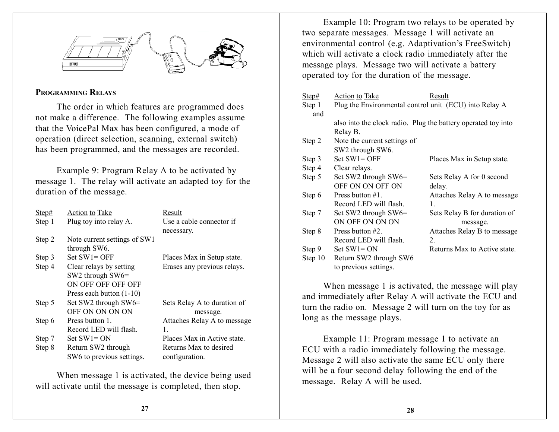

#### **PROGRAMMINGRELAYS**

The order in which features are programmed does not make <sup>a</sup> difference. The following examples assume that the VoicePal Max has been configured, <sup>a</sup> mode of operation (direct selection, scanning, external switch) has been programmed, and the messages are recorded.

Example 9: Program Relay A to be activated by message 1. The relay will activate an adapted toy for the duration of the message.

| Step#  | Action to Take               | Result                      |
|--------|------------------------------|-----------------------------|
| Step 1 | Plug toy into relay A.       | Use a cable connector if    |
|        |                              | necessary.                  |
| Step 2 | Note current settings of SW1 |                             |
|        | through SW6.                 |                             |
| Step 3 | $Set SW1 = OFF$              | Places Max in Setup state.  |
| Step 4 | Clear relays by setting      | Erases any previous relays. |
|        | SW2 through $SW6 =$          |                             |
|        | ON OFF OFF OFF OFF           |                             |
|        | Press each button (1-10)     |                             |
| Step 5 | Set SW2 through SW6=         | Sets Relay A to duration of |
|        | OFF ON ON ON ON              | message.                    |
| Step 6 | Press button 1.              | Attaches Relay A to message |
|        | Record LED will flash.       | 1.                          |
| Step 7 | $Set SW1 = ON$               | Places Max in Active state. |
| Step 8 | Return SW2 through           | Returns Max to desired      |
|        | SW6 to previous settings.    | configuration.              |

When message 1 is activated, the device being used will activate until the message is completed, then stop.

Example 10: Program two relays to be operated by two separate messages. Message 1 will activate an environmental control (e.g. Adaptivation's FreeSwitch) which will activate <sup>a</sup> clock radio immediately after the message plays. Message two will activate <sup>a</sup> battery operated toy for the duration of the message.

| Step#   | Action to Take                                         | Result                                                        |
|---------|--------------------------------------------------------|---------------------------------------------------------------|
| Step 1  | Plug the Environmental control unit (ECU) into Relay A |                                                               |
| and     |                                                        |                                                               |
|         |                                                        | also into the clock radio. Plug the battery operated toy into |
|         | Relay B.                                               |                                                               |
| Step 2  | Note the current settings of                           |                                                               |
|         | SW2 through SW6.                                       |                                                               |
| Step 3  | Set $SW1 = OFF$                                        | Places Max in Setup state.                                    |
| Step 4  | Clear relays.                                          |                                                               |
| Step 5  | Set SW2 through SW6=                                   | Sets Relay A for 0 second                                     |
|         | OFF ON ON OFF ON                                       | delay.                                                        |
| Step 6  | Press button #1.                                       | Attaches Relay A to message                                   |
|         | Record LED will flash.                                 | 1.                                                            |
| Step 7  | Set SW2 through SW6=                                   | Sets Relay B for duration of                                  |
|         | ON OFF ON ON ON                                        | message.                                                      |
| Step 8  | Press button $#2$ .                                    | Attaches Relay B to message                                   |
|         | Record LED will flash.                                 | $\overline{2}$ .                                              |
| Step 9  | Set $SW1 = ON$                                         | Returns Max to Active state.                                  |
| Step 10 | Return SW2 through SW6                                 |                                                               |
|         | to previous settings.                                  |                                                               |

When message 1 is activated, the message will play and immediately after Relay A will activate the ECU and turn the radio on. Message 2 will turn on the toy for as long as the message plays.

Example 11: Program message 1 to activate an ECU with <sup>a</sup> radio immediately following the message. Message 2 will also activate the same ECU only there will be <sup>a</sup> four second delay following the end of the message. Relay A will be used.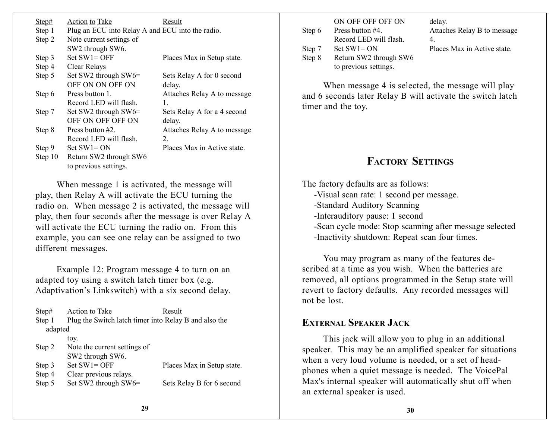| Step#<br>Step 1<br>Step 2 | Action to Take<br>Plug an ECU into Relay A and ECU into the radio.<br>Note current settings of | Result                      |
|---------------------------|------------------------------------------------------------------------------------------------|-----------------------------|
|                           | SW2 through SW6.                                                                               |                             |
| Step 3                    | $Set SW1 = OFF$                                                                                | Places Max in Setup state.  |
| Step 4                    | Clear Relays                                                                                   |                             |
| Step 5                    | Set SW2 through SW6=                                                                           | Sets Relay A for 0 second   |
|                           | OFF ON ON OFF ON                                                                               | delay.                      |
| Step 6                    | Press button 1                                                                                 | Attaches Relay A to message |
|                           | Record LED will flash                                                                          | 1.                          |
| Step 7                    | Set SW2 through SW6=                                                                           | Sets Relay A for a 4 second |
|                           | OFF ON OFF OFF ON                                                                              | delay.                      |
| Step 8                    | Press button #2.                                                                               | Attaches Relay A to message |
|                           | Record LED will flash.                                                                         | 2.                          |
| Step 9                    | $Set SW1 = ON$                                                                                 | Places Max in Active state. |
| Step 10                   | Return SW2 through SW6                                                                         |                             |
|                           | to previous settings.                                                                          |                             |

When message 1 is activated, the message will play, then Relay A will activate the ECU turning the radio on. When message 2 is activated, the message will play, then four seconds after the message is over Relay A will activate the ECU turning the radio on. From this example, you can see one relay can be assigned to two different messages.

Example 12: Program message 4 to turn on an adapted toy using <sup>a</sup> switch latch timer box (e.g. Adaptivation's Linkswitch) with <sup>a</sup> six second delay.

| Step#   | Action to Take                                        | Result                     |
|---------|-------------------------------------------------------|----------------------------|
| Step 1  | Plug the Switch latch timer into Relay B and also the |                            |
| adapted |                                                       |                            |
|         | toy.                                                  |                            |
| Step 2  | Note the current settings of                          |                            |
|         | SW2 through SW6.                                      |                            |
| Step 3  | Set $SW1 = OFF$                                       | Places Max in Setup state. |
| Step 4  | Clear previous relays.                                |                            |
| Step 5  | Set SW2 through SW6=                                  | Sets Relay B for 6 second  |
|         |                                                       |                            |

| Step 6 | ON OFF OFF OFF ON<br>Press button #4.<br>Record LED will flash. | delay.<br>Attaches Relay B to message<br>4 |
|--------|-----------------------------------------------------------------|--------------------------------------------|
| Step 7 | $Set SW1 = ON$                                                  | Places Max in Active state.                |
| Step 8 | Return SW2 through SW6<br>to previous settings.                 |                                            |

When message 4 is selected, the message will play and 6 seconds later Relay B will activate the switch latch timer and the toy.

## **FACTORY SETTINGS**

The factory defaults are as follows:

- -Visual scan rate: 1 second per message.
- -Standard Auditory Scanning
- -Interauditory pause: 1 second
- -Scan cycle mode: Stop scanning after message selected -Inactivity shutdown: Repeat scan four times.

You may program as many of the features described at <sup>a</sup> time as you wish. When the batteries are removed, all options programmed in the Setup state will revert to factory defaults. Any recorded messages will not be lost.

## **EXTERNAL SPEAKER JACK**

This jack will allow you to plug in an additional speaker. This may be an amplified speaker for situations when <sup>a</sup> very loud volume is needed, or <sup>a</sup> set of headphones when <sup>a</sup> quiet message is needed. The VoicePal Max's internal speaker will automatically shut off when an external speaker is used.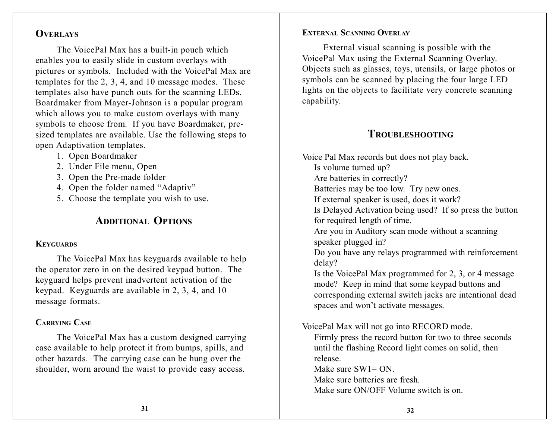## **OVERLAYS**

The VoicePal Max has <sup>a</sup> built-in pouch which enables you to easily slide in custom overlays with pictures or symbols. Included with the VoicePal Max are templates for the 2, 3, 4, and 10 message modes. These templates also have punch outs for the scanning LEDs. Boardmaker from Mayer-Johnson is <sup>a</sup> popular program which allows you to make custom overlays with many symbols to choose from. If you have Boardmaker, presized templates are available. Use the following steps to open Adaptivation templates.

- 1. Open Boardmaker
- 2. Under File menu, Open
- 3. Open the Pre-made folder
- 4. Open the folder named "Adaptiv"
- 5. Choose the template you wish to use.

## **ADDITIONAL OPTIONS**

#### **KEYGUARDS**

The VoicePal Max has keyguards available to help the operator zero in on the desired keypad button. The keyguard helps preven<sup>t</sup> inadvertent activation of the keypad. Keyguards are available in 2, 3, 4, and 10 message formats.

## **CARRYING CASE**

The VoicePal Max has <sup>a</sup> custom designed carrying case available to help protect it from bumps, spills, and other hazards. The carrying case can be hung over the shoulder, worn around the waist to provide easy access.

### **EXTERNAL SCANNING OVERLAY**

External visual scanning is possible with the VoicePal Max using the External Scanning Overlay. Objects such as glasses, toys, utensils, or large photos or symbols can be scanned by placing the four large LED lights on the objects to facilitate very concrete scanning capability.

## **TROUBLESHOOTING**

Voice Pal Max records but does not play back. Is volume turned up? Are batteries in correctly? Batteries may be too low. Try new ones. If external speaker is used, does it work? Is Delayed Activation being used? If so press the button for required length of time. Are you in Auditory scan mode without <sup>a</sup> scanning speaker plugged in? Do you have any relays programmed with reinforcement delay? Is the VoicePal Max programmed for 2, 3, or 4 message mode? Keep in mind that some keypad buttons and corresponding external switch jacks are intentional dead spaces and won't activate messages. VoicePal Max will not go into RECORD mode. Firmly press the record button for two to three seconds

until the flashing Record light comes on solid, then release.

Make sure SW1= ON.

Make sure batteries are fresh.

Make sure ON/OFF Volume switch is on.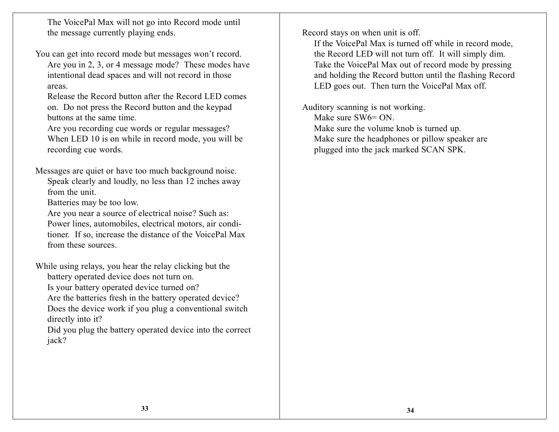The VoicePal Max will not go into Record mode until the message currently playing ends.

You can ge<sup>t</sup> into record mode but messages won't record.

Are you in 2, 3, or 4 message mode? These modes have intentional dead spaces and will not record in those areas.

Release the Record button after the Record LED comeson. Do not press the Record button and the keypad buttons at the same time.

Are you recording cue words or regular messages? When LED 10 is on while in record mode, you will be recording cue words.

Messages are quiet or have too much background noise. Speak clearly and loudly, no less than 12 inches away from the unit.

Batteries may be too low.

Are you near <sup>a</sup> source of electrical noise? Such as: Power lines, automobiles, electrical motors, air conditioner. If so, increase the distance of the VoicePal Max from these sources.

While using relays, you hear the relay clicking but the battery operated device does not turn on. Is your battery operated device turned on?

Are the batteries fresh in the battery operated device? Does the device work if you plug <sup>a</sup> conventional switch directly into it?

Did you plug the battery operated device into the correct jack?

Record stays on when unit is off.

If the VoicePal Max is turned off while in record mode, the Record LED will not turn off. It will simply dim. Take the VoicePal Max out of record mode by pressing and holding the Record button until the flashing Record LED goes out. Then turn the VoicePal Max off.

Auditory scanning is not working. Make sure SW6= ON. Make sure the volume knob is turned up. Make sure the headphones or pillow speaker are plugged into the jack marked SCAN SPK.